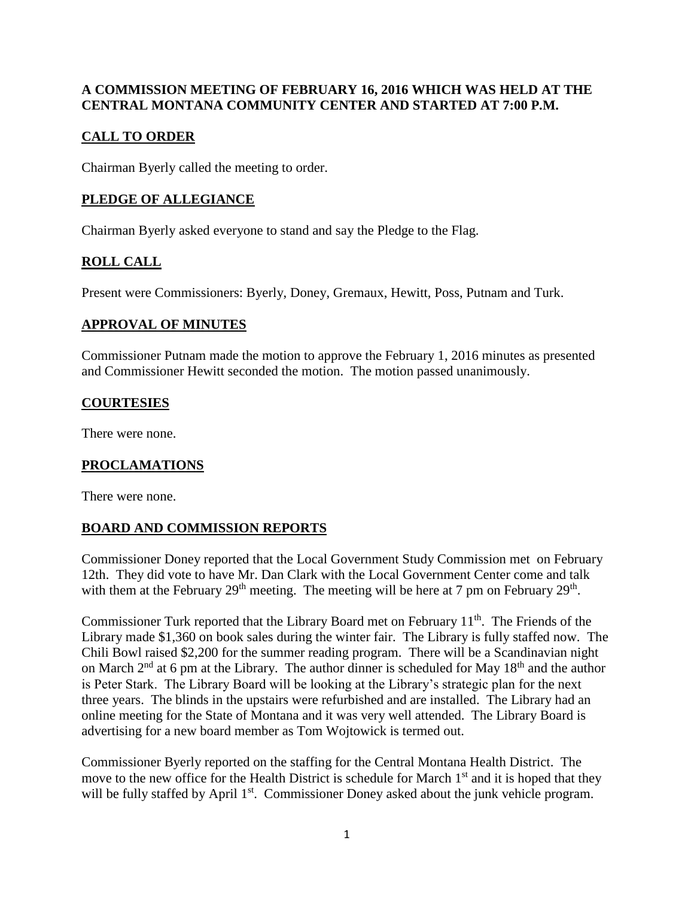### **A COMMISSION MEETING OF FEBRUARY 16, 2016 WHICH WAS HELD AT THE CENTRAL MONTANA COMMUNITY CENTER AND STARTED AT 7:00 P.M.**

# **CALL TO ORDER**

Chairman Byerly called the meeting to order.

### **PLEDGE OF ALLEGIANCE**

Chairman Byerly asked everyone to stand and say the Pledge to the Flag.

# **ROLL CALL**

Present were Commissioners: Byerly, Doney, Gremaux, Hewitt, Poss, Putnam and Turk.

#### **APPROVAL OF MINUTES**

Commissioner Putnam made the motion to approve the February 1, 2016 minutes as presented and Commissioner Hewitt seconded the motion. The motion passed unanimously.

#### **COURTESIES**

There were none.

#### **PROCLAMATIONS**

There were none.

### **BOARD AND COMMISSION REPORTS**

Commissioner Doney reported that the Local Government Study Commission met on February 12th. They did vote to have Mr. Dan Clark with the Local Government Center come and talk with them at the February  $29<sup>th</sup>$  meeting. The meeting will be here at 7 pm on February  $29<sup>th</sup>$ .

Commissioner Turk reported that the Library Board met on February  $11<sup>th</sup>$ . The Friends of the Library made \$1,360 on book sales during the winter fair. The Library is fully staffed now. The Chili Bowl raised \$2,200 for the summer reading program. There will be a Scandinavian night on March  $2<sup>nd</sup>$  at 6 pm at the Library. The author dinner is scheduled for May 18<sup>th</sup> and the author is Peter Stark. The Library Board will be looking at the Library's strategic plan for the next three years. The blinds in the upstairs were refurbished and are installed. The Library had an online meeting for the State of Montana and it was very well attended. The Library Board is advertising for a new board member as Tom Wojtowick is termed out.

Commissioner Byerly reported on the staffing for the Central Montana Health District. The move to the new office for the Health District is schedule for March 1<sup>st</sup> and it is hoped that they will be fully staffed by April 1<sup>st</sup>. Commissioner Doney asked about the junk vehicle program.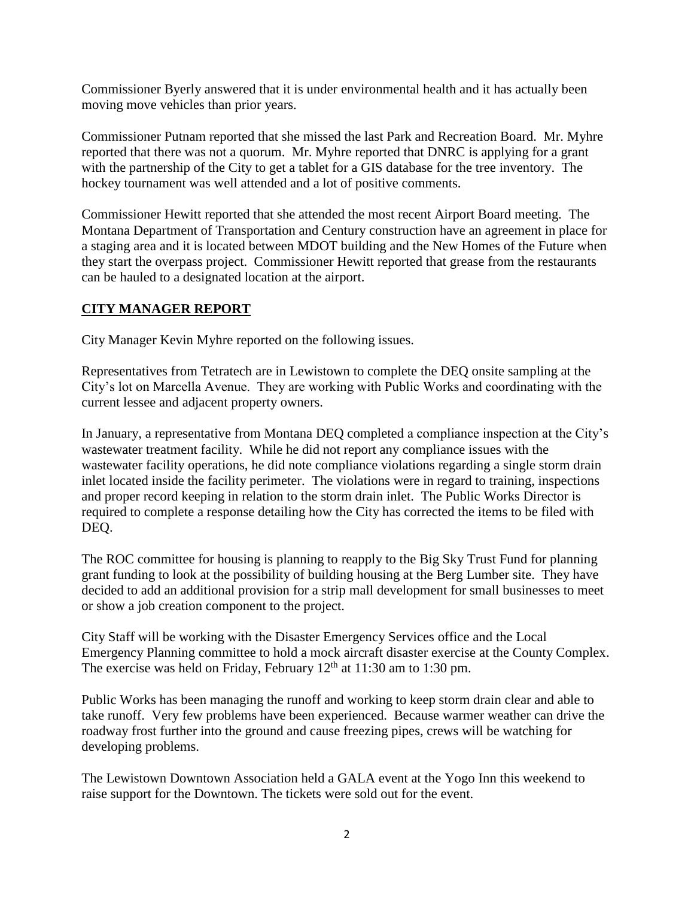Commissioner Byerly answered that it is under environmental health and it has actually been moving move vehicles than prior years.

Commissioner Putnam reported that she missed the last Park and Recreation Board. Mr. Myhre reported that there was not a quorum. Mr. Myhre reported that DNRC is applying for a grant with the partnership of the City to get a tablet for a GIS database for the tree inventory. The hockey tournament was well attended and a lot of positive comments.

Commissioner Hewitt reported that she attended the most recent Airport Board meeting. The Montana Department of Transportation and Century construction have an agreement in place for a staging area and it is located between MDOT building and the New Homes of the Future when they start the overpass project. Commissioner Hewitt reported that grease from the restaurants can be hauled to a designated location at the airport.

### **CITY MANAGER REPORT**

City Manager Kevin Myhre reported on the following issues.

Representatives from Tetratech are in Lewistown to complete the DEQ onsite sampling at the City's lot on Marcella Avenue. They are working with Public Works and coordinating with the current lessee and adjacent property owners.

In January, a representative from Montana DEQ completed a compliance inspection at the City's wastewater treatment facility. While he did not report any compliance issues with the wastewater facility operations, he did note compliance violations regarding a single storm drain inlet located inside the facility perimeter. The violations were in regard to training, inspections and proper record keeping in relation to the storm drain inlet. The Public Works Director is required to complete a response detailing how the City has corrected the items to be filed with DEQ.

The ROC committee for housing is planning to reapply to the Big Sky Trust Fund for planning grant funding to look at the possibility of building housing at the Berg Lumber site. They have decided to add an additional provision for a strip mall development for small businesses to meet or show a job creation component to the project.

City Staff will be working with the Disaster Emergency Services office and the Local Emergency Planning committee to hold a mock aircraft disaster exercise at the County Complex. The exercise was held on Friday, February  $12<sup>th</sup>$  at  $11:30$  am to  $1:30$  pm.

Public Works has been managing the runoff and working to keep storm drain clear and able to take runoff. Very few problems have been experienced. Because warmer weather can drive the roadway frost further into the ground and cause freezing pipes, crews will be watching for developing problems.

The Lewistown Downtown Association held a GALA event at the Yogo Inn this weekend to raise support for the Downtown. The tickets were sold out for the event.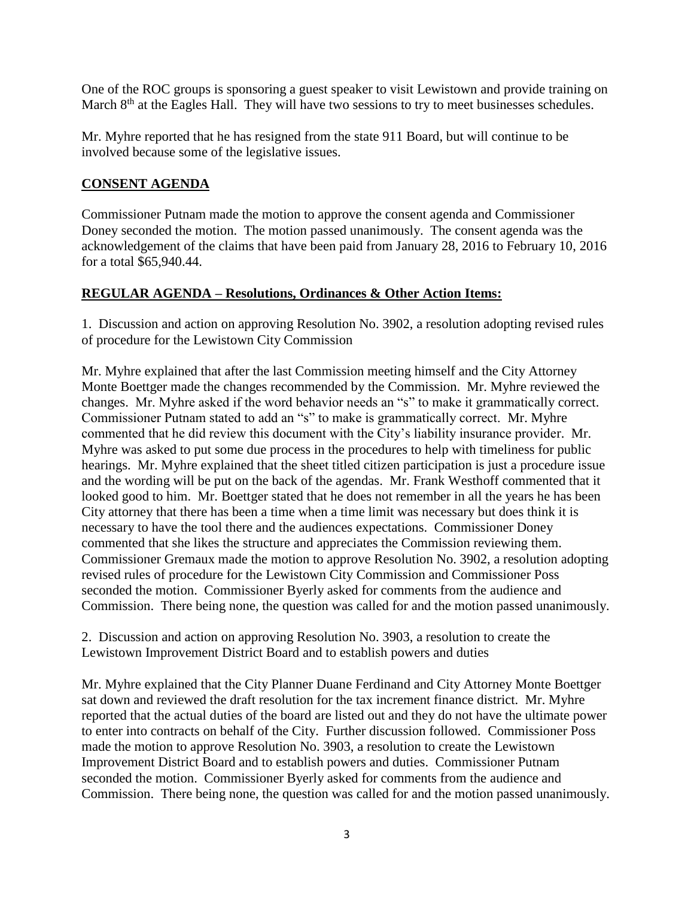One of the ROC groups is sponsoring a guest speaker to visit Lewistown and provide training on March 8<sup>th</sup> at the Eagles Hall. They will have two sessions to try to meet businesses schedules.

Mr. Myhre reported that he has resigned from the state 911 Board, but will continue to be involved because some of the legislative issues.

#### **CONSENT AGENDA**

Commissioner Putnam made the motion to approve the consent agenda and Commissioner Doney seconded the motion. The motion passed unanimously. The consent agenda was the acknowledgement of the claims that have been paid from January 28, 2016 to February 10, 2016 for a total \$65,940.44.

#### **REGULAR AGENDA – Resolutions, Ordinances & Other Action Items:**

1. Discussion and action on approving Resolution No. 3902, a resolution adopting revised rules of procedure for the Lewistown City Commission

Mr. Myhre explained that after the last Commission meeting himself and the City Attorney Monte Boettger made the changes recommended by the Commission. Mr. Myhre reviewed the changes. Mr. Myhre asked if the word behavior needs an "s" to make it grammatically correct. Commissioner Putnam stated to add an "s" to make is grammatically correct. Mr. Myhre commented that he did review this document with the City's liability insurance provider. Mr. Myhre was asked to put some due process in the procedures to help with timeliness for public hearings. Mr. Myhre explained that the sheet titled citizen participation is just a procedure issue and the wording will be put on the back of the agendas. Mr. Frank Westhoff commented that it looked good to him. Mr. Boettger stated that he does not remember in all the years he has been City attorney that there has been a time when a time limit was necessary but does think it is necessary to have the tool there and the audiences expectations. Commissioner Doney commented that she likes the structure and appreciates the Commission reviewing them. Commissioner Gremaux made the motion to approve Resolution No. 3902, a resolution adopting revised rules of procedure for the Lewistown City Commission and Commissioner Poss seconded the motion. Commissioner Byerly asked for comments from the audience and Commission. There being none, the question was called for and the motion passed unanimously.

2. Discussion and action on approving Resolution No. 3903, a resolution to create the Lewistown Improvement District Board and to establish powers and duties

Mr. Myhre explained that the City Planner Duane Ferdinand and City Attorney Monte Boettger sat down and reviewed the draft resolution for the tax increment finance district. Mr. Myhre reported that the actual duties of the board are listed out and they do not have the ultimate power to enter into contracts on behalf of the City. Further discussion followed. Commissioner Poss made the motion to approve Resolution No. 3903, a resolution to create the Lewistown Improvement District Board and to establish powers and duties. Commissioner Putnam seconded the motion. Commissioner Byerly asked for comments from the audience and Commission. There being none, the question was called for and the motion passed unanimously.